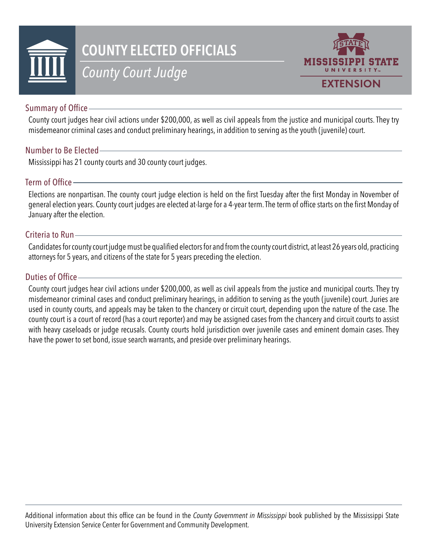

# **COUNTY ELECTED OFFICIALS**

# *County Court Judge*



## Summary of Office

County court judges hear civil actions under \$200,000, as well as civil appeals from the justice and municipal courts. They try misdemeanor criminal cases and conduct preliminary hearings, in addition to serving as the youth (juvenile) court.

### Number to Be Elected

Mississippi has 21 county courts and 30 county court judges.

### Term of Office

Elections are nonpartisan. The county court judge election is held on the first Tuesday after the first Monday in November of general election years. County court judges are elected at-large for a 4-year term. The term of office starts on the first Monday of January after the election.

#### Criteria to Run

Candidates for county court judge must be qualified electors for and from the county court district, at least 26 years old, practicing attorneys for 5 years, and citizens of the state for 5 years preceding the election.

#### Duties of Office

County court judges hear civil actions under \$200,000, as well as civil appeals from the justice and municipal courts. They try misdemeanor criminal cases and conduct preliminary hearings, in addition to serving as the youth (juvenile) court. Juries are used in county courts, and appeals may be taken to the chancery or circuit court, depending upon the nature of the case. The county court is a court of record (has a court reporter) and may be assigned cases from the chancery and circuit courts to assist with heavy caseloads or judge recusals. County courts hold jurisdiction over juvenile cases and eminent domain cases. They have the power to set bond, issue search warrants, and preside over preliminary hearings.

Additional information about this office can be found in the *County Government in Mississippi* book published by the Mississippi State University Extension Service Center for Government and Community Development.